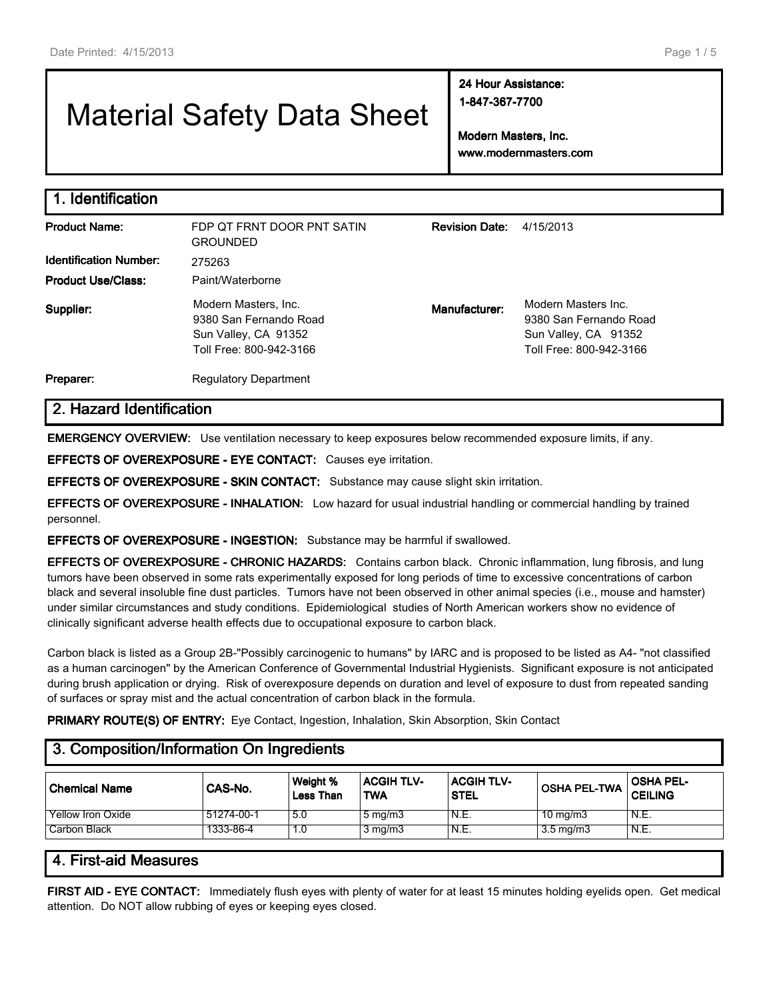# Material Safety Data Sheet

**24 Hour Assistance: 1-847-367-7700**

**Modern Masters, Inc. www.modernmasters.com**

| 1. Identification             |                                                                                                   |                       |                                                                                                  |
|-------------------------------|---------------------------------------------------------------------------------------------------|-----------------------|--------------------------------------------------------------------------------------------------|
| <b>Product Name:</b>          | FDP OT FRNT DOOR PNT SATIN<br><b>GROUNDED</b>                                                     | <b>Revision Date:</b> | 4/15/2013                                                                                        |
| <b>Identification Number:</b> | 275263                                                                                            |                       |                                                                                                  |
| <b>Product Use/Class:</b>     | Paint/Waterborne                                                                                  |                       |                                                                                                  |
| Supplier:                     | Modern Masters, Inc.<br>9380 San Fernando Road<br>Sun Valley, CA 91352<br>Toll Free: 800-942-3166 | Manufacturer:         | Modern Masters Inc.<br>9380 San Fernando Road<br>Sun Valley, CA 91352<br>Toll Free: 800-942-3166 |
| Preparer:                     | <b>Regulatory Department</b>                                                                      |                       |                                                                                                  |

# **2. Hazard Identification**

**EMERGENCY OVERVIEW:** Use ventilation necessary to keep exposures below recommended exposure limits, if any.

**EFFECTS OF OVEREXPOSURE - EYE CONTACT:** Causes eye irritation.

**EFFECTS OF OVEREXPOSURE - SKIN CONTACT:** Substance may cause slight skin irritation.

**EFFECTS OF OVEREXPOSURE - INHALATION:** Low hazard for usual industrial handling or commercial handling by trained personnel.

**EFFECTS OF OVEREXPOSURE - INGESTION:** Substance may be harmful if swallowed.

**EFFECTS OF OVEREXPOSURE - CHRONIC HAZARDS:** Contains carbon black. Chronic inflammation, lung fibrosis, and lung tumors have been observed in some rats experimentally exposed for long periods of time to excessive concentrations of carbon black and several insoluble fine dust particles. Tumors have not been observed in other animal species (i.e., mouse and hamster) under similar circumstances and study conditions. Epidemiological studies of North American workers show no evidence of clinically significant adverse health effects due to occupational exposure to carbon black.

Carbon black is listed as a Group 2B-"Possibly carcinogenic to humans" by IARC and is proposed to be listed as A4- "not classified as a human carcinogen" by the American Conference of Governmental Industrial Hygienists. Significant exposure is not anticipated during brush application or drying. Risk of overexposure depends on duration and level of exposure to dust from repeated sanding of surfaces or spray mist and the actual concentration of carbon black in the formula.

**PRIMARY ROUTE(S) OF ENTRY:** Eye Contact, Ingestion, Inhalation, Skin Absorption, Skin Contact

# **3. Composition/Information On Ingredients**

| ⊥Chemical Name           | CAS-No.    | Weight %<br><b>Less Than</b> | <b>ACGIH TLV-</b><br><b>TWA</b> | <b>ACGIH TLV-</b><br><b>STEL</b> | <b>OSHA PEL-TWA</b> | <b>OSHA PEL-</b><br><b>CEILING</b> |
|--------------------------|------------|------------------------------|---------------------------------|----------------------------------|---------------------|------------------------------------|
| <b>Yellow Iron Oxide</b> | 51274-00-1 | 5.0                          | $5 \text{ mg/m}$                | N.E.                             | $10 \text{ mg/m}$   | N.E.                               |
| Carbon Black             | 1333-86-4  | 1.0                          | $3 \text{ mg/m}$                | N.E.                             | $3.5 \text{ mg/m}$  | N.E.                               |

## **4. First-aid Measures**

**FIRST AID - EYE CONTACT:** Immediately flush eyes with plenty of water for at least 15 minutes holding eyelids open. Get medical attention. Do NOT allow rubbing of eyes or keeping eyes closed.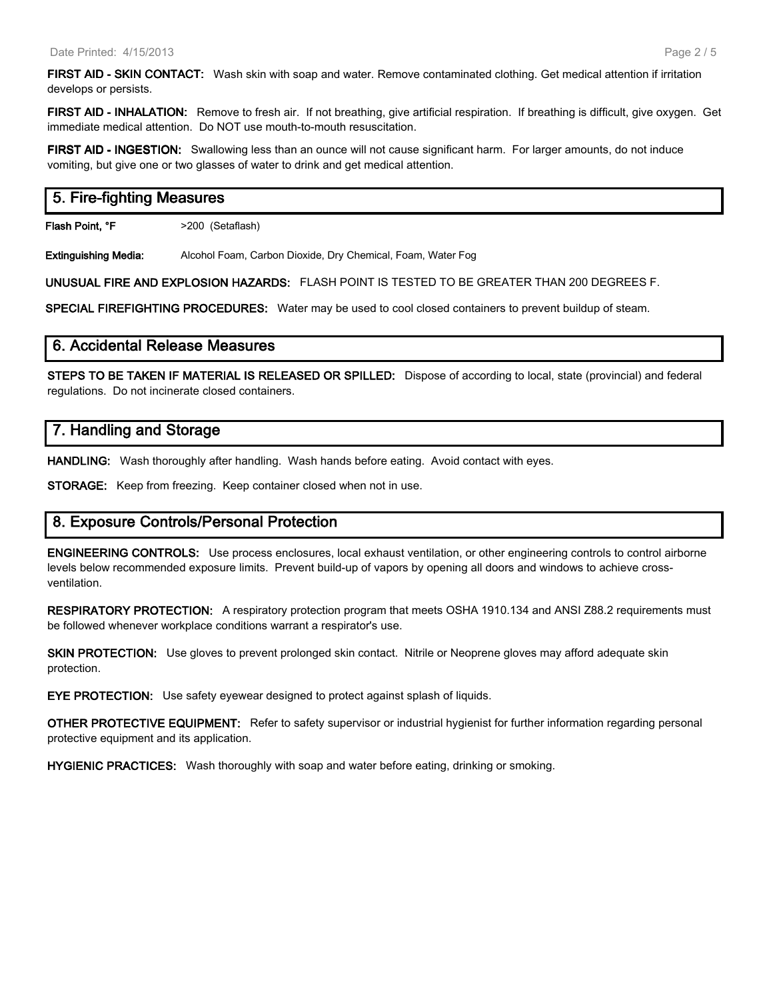**FIRST AID - SKIN CONTACT:** Wash skin with soap and water. Remove contaminated clothing. Get medical attention if irritation develops or persists.

**FIRST AID - INHALATION:** Remove to fresh air. If not breathing, give artificial respiration. If breathing is difficult, give oxygen. Get immediate medical attention. Do NOT use mouth-to-mouth resuscitation.

**FIRST AID - INGESTION:** Swallowing less than an ounce will not cause significant harm. For larger amounts, do not induce vomiting, but give one or two glasses of water to drink and get medical attention.

# **5. Fire-fighting Measures**

**Flash Point, °F** >200 (Setaflash)

**Extinguishing Media:** Alcohol Foam, Carbon Dioxide, Dry Chemical, Foam, Water Fog

**UNUSUAL FIRE AND EXPLOSION HAZARDS:** FLASH POINT IS TESTED TO BE GREATER THAN 200 DEGREES F.

**SPECIAL FIREFIGHTING PROCEDURES:** Water may be used to cool closed containers to prevent buildup of steam.

## **6. Accidental Release Measures**

**STEPS TO BE TAKEN IF MATERIAL IS RELEASED OR SPILLED:** Dispose of according to local, state (provincial) and federal regulations. Do not incinerate closed containers.

# **7. Handling and Storage**

**HANDLING:** Wash thoroughly after handling. Wash hands before eating. Avoid contact with eyes.

**STORAGE:** Keep from freezing. Keep container closed when not in use.

## **8. Exposure Controls/Personal Protection**

**ENGINEERING CONTROLS:** Use process enclosures, local exhaust ventilation, or other engineering controls to control airborne levels below recommended exposure limits. Prevent build-up of vapors by opening all doors and windows to achieve crossventilation.

**RESPIRATORY PROTECTION:** A respiratory protection program that meets OSHA 1910.134 and ANSI Z88.2 requirements must be followed whenever workplace conditions warrant a respirator's use.

**SKIN PROTECTION:** Use gloves to prevent prolonged skin contact. Nitrile or Neoprene gloves may afford adequate skin protection.

**EYE PROTECTION:** Use safety eyewear designed to protect against splash of liquids.

**OTHER PROTECTIVE EQUIPMENT:** Refer to safety supervisor or industrial hygienist for further information regarding personal protective equipment and its application.

**HYGIENIC PRACTICES:** Wash thoroughly with soap and water before eating, drinking or smoking.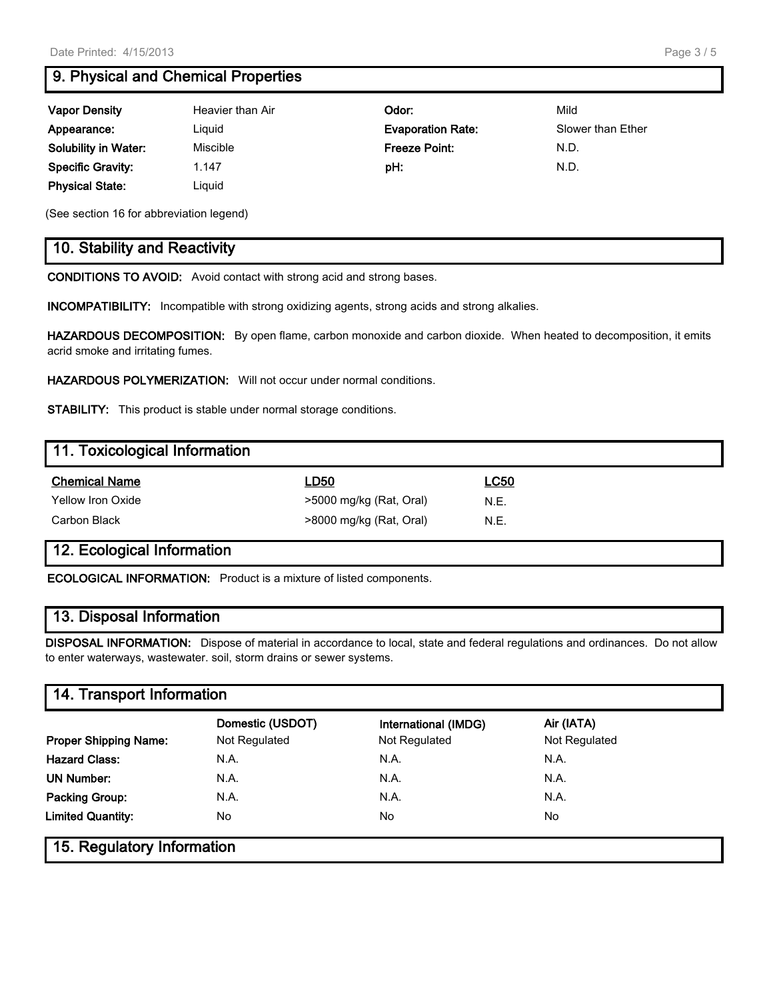# **9. Physical and Chemical Properties**

| <b>Vapor Density</b>        | Heavier than Air | Odor:                    | Mild              |
|-----------------------------|------------------|--------------------------|-------------------|
| Appearance:                 | Liguid           | <b>Evaporation Rate:</b> | Slower than Ether |
| <b>Solubility in Water:</b> | Miscible         | Freeze Point:            | N.D.              |
| <b>Specific Gravity:</b>    | 1.147            | pH:                      | N.D.              |
| <b>Physical State:</b>      | Liauid           |                          |                   |

(See section 16 for abbreviation legend)

# **10. Stability and Reactivity**

**CONDITIONS TO AVOID:** Avoid contact with strong acid and strong bases.

**INCOMPATIBILITY:** Incompatible with strong oxidizing agents, strong acids and strong alkalies.

**HAZARDOUS DECOMPOSITION:** By open flame, carbon monoxide and carbon dioxide. When heated to decomposition, it emits acrid smoke and irritating fumes.

**HAZARDOUS POLYMERIZATION:** Will not occur under normal conditions.

**STABILITY:** This product is stable under normal storage conditions.

| 11. Toxicological Information |                         |             |
|-------------------------------|-------------------------|-------------|
| <b>Chemical Name</b>          | LD50                    | <u>LC50</u> |
| Yellow Iron Oxide             | >5000 mg/kg (Rat, Oral) | N.E.        |
| Carbon Black                  | >8000 mg/kg (Rat, Oral) | N.E.        |

# **12. Ecological Information**

**ECOLOGICAL INFORMATION:** Product is a mixture of listed components.

# **13. Disposal Information**

**DISPOSAL INFORMATION:** Dispose of material in accordance to local, state and federal regulations and ordinances. Do not allow to enter waterways, wastewater. soil, storm drains or sewer systems.

# **14. Transport Information**

|                              | Domestic (USDOT) | International (IMDG) | Air (IATA)    |  |
|------------------------------|------------------|----------------------|---------------|--|
| <b>Proper Shipping Name:</b> | Not Regulated    | Not Regulated        | Not Regulated |  |
| <b>Hazard Class:</b>         | N.A.             | N.A.                 | N.A.          |  |
| UN Number:                   | N.A.             | N.A.                 | N.A.          |  |
| Packing Group:               | N.A.             | N.A.                 | N.A.          |  |
| <b>Limited Quantity:</b>     | No.              | No.                  | <b>No</b>     |  |
| 15. Regulatory Information   |                  |                      |               |  |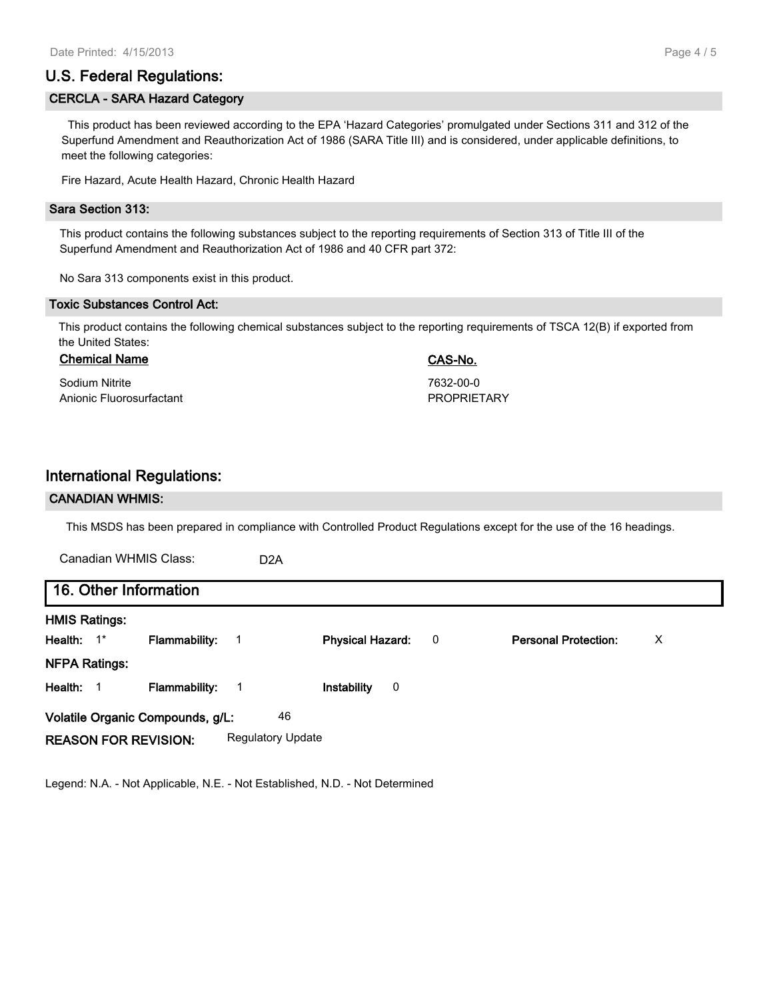# **U.S. Federal Regulations:**

#### **CERCLA - SARA Hazard Category**

 This product has been reviewed according to the EPA 'Hazard Categories' promulgated under Sections 311 and 312 of the Superfund Amendment and Reauthorization Act of 1986 (SARA Title III) and is considered, under applicable definitions, to meet the following categories:

Fire Hazard, Acute Health Hazard, Chronic Health Hazard

#### **Sara Section 313:**

This product contains the following substances subject to the reporting requirements of Section 313 of Title III of the Superfund Amendment and Reauthorization Act of 1986 and 40 CFR part 372:

No Sara 313 components exist in this product.

#### **Toxic Substances Control Act:**

This product contains the following chemical substances subject to the reporting requirements of TSCA 12(B) if exported from the United States:

### **Chemical Name CAS-No.**

Sodium Nitrite 7632-00-0 Anionic Fluorosurfactant **PROPRIETARY** 

## **International Regulations:**

#### **CANADIAN WHMIS:**

This MSDS has been prepared in compliance with Controlled Product Regulations except for the use of the 16 headings.

| Canadian WHMIS Class:                  |                      | D <sub>2</sub> A         |                         |   |                             |   |
|----------------------------------------|----------------------|--------------------------|-------------------------|---|-----------------------------|---|
| 16. Other Information                  |                      |                          |                         |   |                             |   |
| <b>HMIS Ratings:</b>                   |                      |                          |                         |   |                             |   |
| Health: 1*                             | <b>Flammability:</b> | 1                        | <b>Physical Hazard:</b> | 0 | <b>Personal Protection:</b> | X |
| <b>NFPA Ratings:</b>                   |                      |                          |                         |   |                             |   |
| Health: 1                              | <b>Flammability:</b> | -1                       | Instability<br>0        |   |                             |   |
| 46<br>Volatile Organic Compounds, g/L: |                      |                          |                         |   |                             |   |
| <b>REASON FOR REVISION:</b>            |                      | <b>Regulatory Update</b> |                         |   |                             |   |

Legend: N.A. - Not Applicable, N.E. - Not Established, N.D. - Not Determined